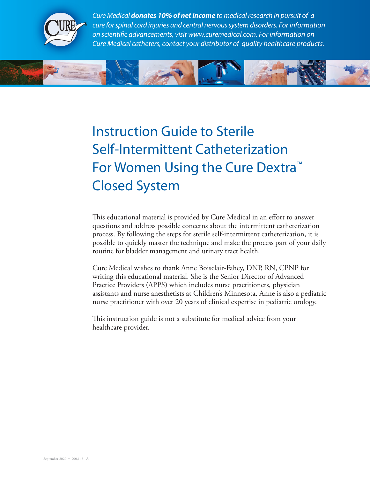

*Cure Medical donates 10% of net income to medical research in pursuit of a cure for spinal cord injuries and central nervous system disorders. For information on scientific advancements, visit www.curemedical.com. For information on Cure Medical catheters, contact your distributor of quality healthcare products.*



# Instruction Guide to Sterile Self-Intermittent Catheterization For Women Using the Cure Dextra™ Closed System

This educational material is provided by Cure Medical in an effort to answer questions and address possible concerns about the intermittent catheterization process. By following the steps for sterile self-intermittent catheterization, it is possible to quickly master the technique and make the process part of your daily routine for bladder management and urinary tract health.

Cure Medical wishes to thank Anne Boisclair-Fahey, DNP, RN, CPNP for writing this educational material. She is the Senior Director of Advanced Practice Providers (APPS) which includes nurse practitioners, physician assistants and nurse anesthetists at Children's Minnesota. Anne is also a pediatric nurse practitioner with over 20 years of clinical expertise in pediatric urology.

This instruction guide is not a substitute for medical advice from your healthcare provider.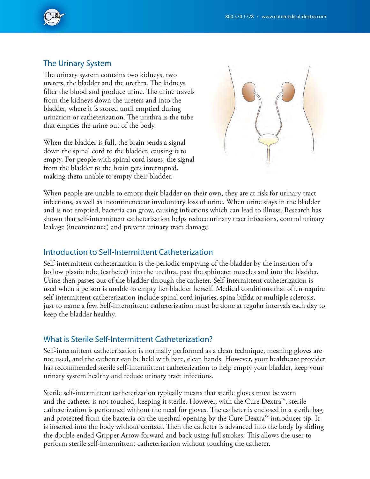

#### The Urinary System

The urinary system contains two kidneys, two ureters, the bladder and the urethra. The kidneys filter the blood and produce urine. The urine travels from the kidneys down the ureters and into the bladder, where it is stored until emptied during urination or catheterization. The urethra is the tube that empties the urine out of the body.

When the bladder is full, the brain sends a signal down the spinal cord to the bladder, causing it to empty. For people with spinal cord issues, the signal from the bladder to the brain gets interrupted, making them unable to empty their bladder.



When people are unable to empty their bladder on their own, they are at risk for urinary tract infections, as well as incontinence or involuntary loss of urine. When urine stays in the bladder and is not emptied, bacteria can grow, causing infections which can lead to illness. Research has shown that self-intermittent catheterization helps reduce urinary tract infections, control urinary leakage (incontinence) and prevent urinary tract damage.

## Introduction to Self-Intermittent Catheterization

Self-intermittent catheterization is the periodic emptying of the bladder by the insertion of a hollow plastic tube (catheter) into the urethra, past the sphincter muscles and into the bladder. Urine then passes out of the bladder through the catheter. Self-intermittent catheterization is used when a person is unable to empty her bladder herself. Medical conditions that often require self-intermittent catheterization include spinal cord injuries, spina bifida or multiple sclerosis, just to name a few. Self-intermittent catheterization must be done at regular intervals each day to keep the bladder healthy.

## What is Sterile Self-Intermittent Catheterization?

Self-intermittent catheterization is normally performed as a clean technique, meaning gloves are not used, and the catheter can be held with bare, clean hands. However, your healthcare provider has recommended sterile self-intermittent catheterization to help empty your bladder, keep your urinary system healthy and reduce urinary tract infections.

Sterile self-intermittent catheterization typically means that sterile gloves must be worn and the catheter is not touched, keeping it sterile. However, with the Cure Dextra™, sterile catheterization is performed without the need for gloves. The catheter is enclosed in a sterile bag and protected from the bacteria on the urethral opening by the Cure Dextra™ introducer tip. It is inserted into the body without contact. Then the catheter is advanced into the body by sliding the double ended Gripper Arrow forward and back using full strokes. This allows the user to perform sterile self-intermittent catheterization without touching the catheter.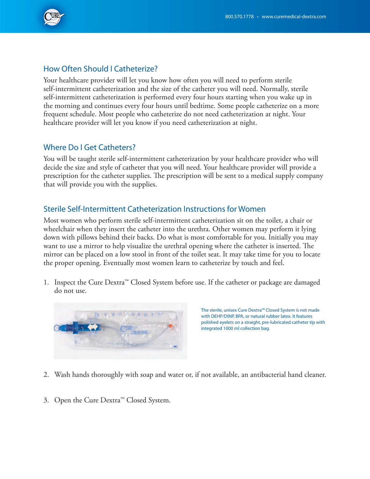

## How Often Should I Catheterize?

Your healthcare provider will let you know how often you will need to perform sterile self-intermittent catheterization and the size of the catheter you will need. Normally, sterile self-intermittent catheterization is performed every four hours starting when you wake up in the morning and continues every four hours until bedtime. Some people catheterize on a more frequent schedule. Most people who catheterize do not need catheterization at night. Your healthcare provider will let you know if you need catheterization at night.

# Where Do I Get Catheters?

You will be taught sterile self-intermittent catheterization by your healthcare provider who will decide the size and style of catheter that you will need. Your healthcare provider will provide a prescription for the catheter supplies. The prescription will be sent to a medical supply company that will provide you with the supplies.

## Sterile Self-Intermittent Catheterization Instructions for Women

Most women who perform sterile self-intermittent catheterization sit on the toilet, a chair or wheelchair when they insert the catheter into the urethra. Other women may perform it lying down with pillows behind their backs. Do what is most comfortable for you. Initially you may want to use a mirror to help visualize the urethral opening where the catheter is inserted. The mirror can be placed on a low stool in front of the toilet seat. It may take time for you to locate the proper opening. Eventually most women learn to catheterize by touch and feel.

1. Inspect the Cure Dextra™ Closed System before use. If the catheter or package are damaged do not use.



The sterile, unisex Cure Dextra™ Closed System is not made with DEHP/DINP, BPA, or natural rubber latex. It features polished eyelets on a straight, pre-lubricated catheter tip with integrated 1000 ml collection bag.

- 2. Wash hands thoroughly with soap and water or, if not available, an antibacterial hand cleaner.
- 3. Open the Cure Dextra™ Closed System.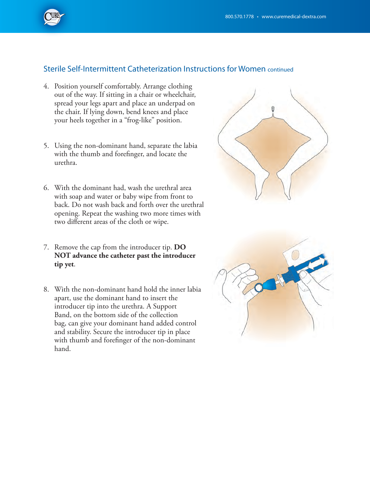

## Sterile Self-Intermittent Catheterization Instructions for Women continued

- 4. Position yourself comfortably. Arrange clothing out of the way. If sitting in a chair or wheelchair, spread your legs apart and place an underpad on the chair. If lying down, bend knees and place your heels together in a "frog-like" position.
- 5. Using the non-dominant hand, separate the labia with the thumb and forefinger, and locate the urethra.
- 6. With the dominant had, wash the urethral area with soap and water or baby wipe from front to back. Do not wash back and forth over the urethral opening. Repeat the washing two more times with two different areas of the cloth or wipe.
- 7. Remove the cap from the introducer tip. **DO NOT advance the catheter past the introducer tip yet**.
- 8. With the non-dominant hand hold the inner labia apart, use the dominant hand to insert the introducer tip into the urethra. A Support Band, on the bottom side of the collection bag, can give your dominant hand added control and stability. Secure the introducer tip in place with thumb and forefinger of the non-dominant hand.



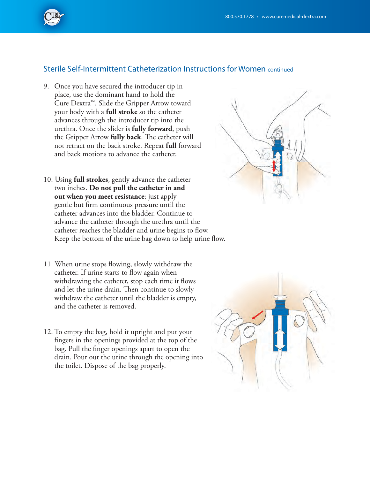

#### Sterile Self-Intermittent Catheterization Instructions for Women continued

- 9. Once you have secured the introducer tip in place, use the dominant hand to hold the Cure Dextra™. Slide the Gripper Arrow toward your body with a **full stroke** so the catheter advances through the introducer tip into the urethra. Once the slider is **fully forward**, push the Gripper Arrow **fully back**. The catheter will not retract on the back stroke. Repeat **full** forward and back motions to advance the catheter.
- 10. Using **full strokes**, gently advance the catheter two inches. **Do not pull the catheter in and out when you meet resistance**; just apply gentle but firm continuous pressure until the catheter advances into the bladder. Continue to advance the catheter through the urethra until the catheter reaches the bladder and urine begins to flow. Keep the bottom of the urine bag down to help urine flow.
- 11. When urine stops flowing, slowly withdraw the catheter. If urine starts to flow again when withdrawing the catheter, stop each time it flows and let the urine drain. Then continue to slowly withdraw the catheter until the bladder is empty, and the catheter is removed.
- 12. To empty the bag, hold it upright and put your fingers in the openings provided at the top of the bag. Pull the finger openings apart to open the drain. Pour out the urine through the opening into the toilet. Dispose of the bag properly.